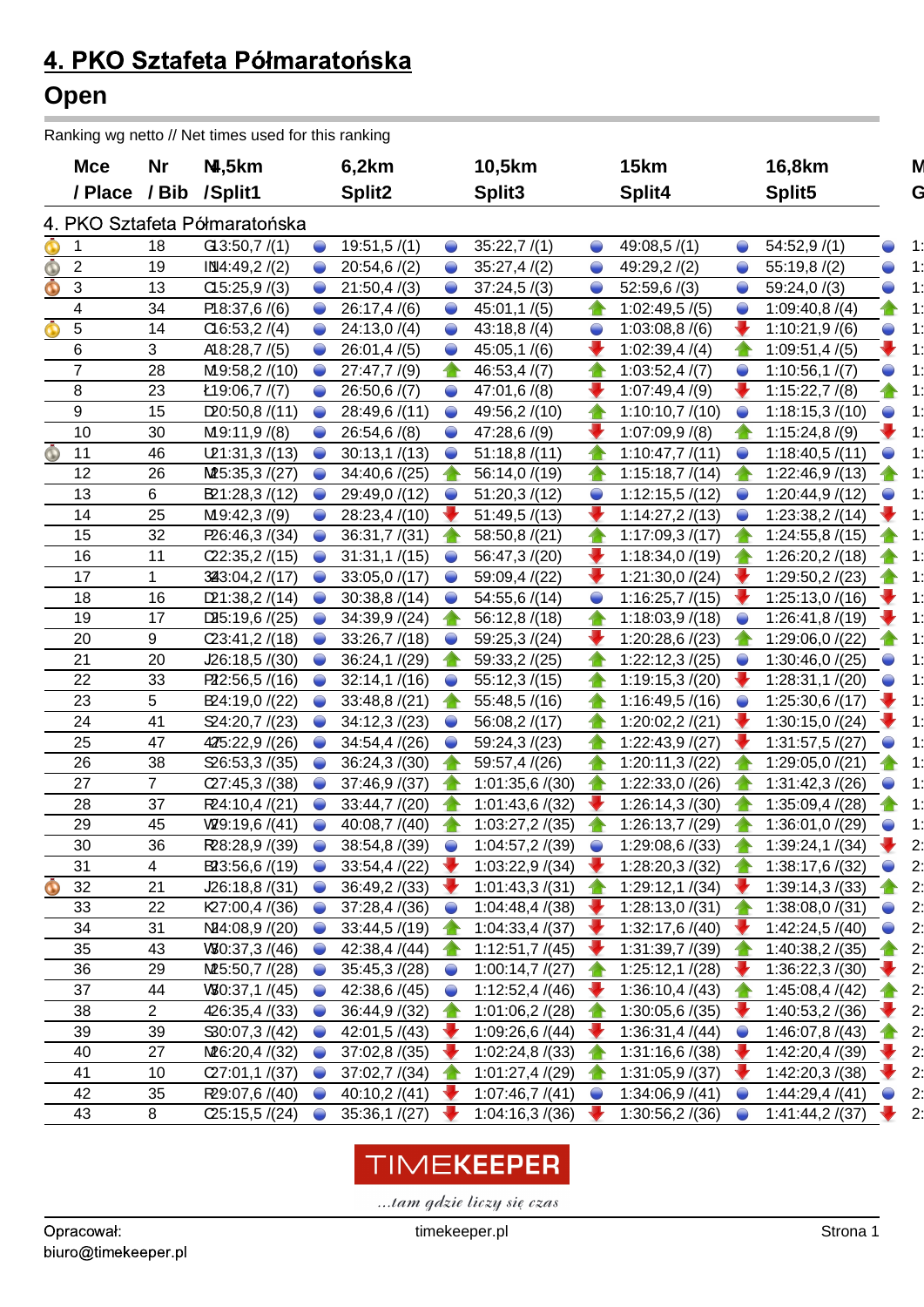### 4. PKO Sztafeta Półmaratońska **Open**

Ranking wg netto // Net times used for this ranking

|                     | <b>Mce</b>      | Nr             | N,5km                         |           | 6,2km              |            | 10,5km             |           | 15km           |           | 16,8km                       | M  |
|---------------------|-----------------|----------------|-------------------------------|-----------|--------------------|------------|--------------------|-----------|----------------|-----------|------------------------------|----|
|                     | / Place         |                | / Bib / Split1                |           | Split <sub>2</sub> |            | Split <sub>3</sub> |           | Split4         |           | Split <sub>5</sub>           | G  |
|                     |                 |                | 4. PKO Sztafeta Półmaratońska |           |                    |            |                    |           |                |           |                              |    |
| $\bigcirc$          |                 | 18             | G3:50,7/(1)                   |           | 19:51,5/(1)        | $\bullet$  | 35:22,7/(1)        |           | 49:08,5/(1)    |           | 54:52,9/(1)                  | 11 |
| Ô                   | $\overline{2}$  | 19             | IM4:49,2/(2)                  |           | 20:54,6/(2)        | $\bullet$  | 35:27,4/(2)        |           | 49:29,2/(2)    |           | 55:19,8/(2)                  |    |
| $\ddot{\textbf{O}}$ | $\mathbf{3}$    | 13             | CI5:25,9/(3)                  |           | 21:50,4/(3)        | $\bullet$  | 37:24,5/(3)        | $\bullet$ | 52:59,6/(3)    |           | 59:24,0/(3)                  |    |
|                     | 4               | 34             | P18:37,6/(6)                  |           | 26:17,4/(6)        | $\bullet$  | 45:01,1/(5)        |           | 1:02:49,5/(5)  |           | 1:09:40,8/(4)                |    |
| $\bf O$             | $5\phantom{.0}$ | 14             | Cl6:53,2/(4)                  |           | 24:13,0/(4)        | $\bullet$  | 43:18,8/(4)        | $\bullet$ | 1:03:08,8/(6)  |           | 1:10:21,9(6)                 |    |
|                     | 6               | 3              | A18:28,7 /(5)                 |           | 26:01,4/(5)        | $\bullet$  | 45:05,1/(6)        |           | 1:02:39,4/(4)  |           | 1:09:51,4/(5)                |    |
|                     | $\overline{7}$  | 28             | M9:58,2/(10)                  |           | 27:47,7/(9)        |            | 46:53,4/(7)        |           | 1:03:52,4/(7)  |           | 1:10:56,1/(7)                |    |
|                     | 8               | 23             | Ł19:06,7 $/(7)$               |           | 26:50,6/(7)        | $\bullet$  | 47:01,6/(8)        |           | 1:07:49,4/(9)  |           | 1:15:22,7/(8)                |    |
|                     | 9               | 15             | D20:50,8/(11)                 |           | 28:49,6 /(11)      |            | 49:56,2 /(10)      |           | 1:10:10,7/(10) |           | 1:18:15,3/(10)               |    |
|                     | 10              | 30             | M9:11,9/(8)                   |           | 26:54,6/(8)        |            | 47:28,6/(9)        |           | 1:07:09,9/(8)  |           | 1:15:24,8(9)                 |    |
| Ò                   | 11              | 46             | L21:31,3/(13)                 |           | 30:13,1/(13)       | $\bullet$  | 51:18,8/(11)       |           | 1:10:47,7/(11) |           | 1:18:40,5/(11)               |    |
|                     | 12              | 26             | M25:35,3 /(27)                |           | 34:40,6/(25)       |            | 56:14,0 /(19)      |           | 1:15:18,7/(14) |           | 1:22:46,9/(13)               |    |
|                     | 13              | 6              | B21:28,3/(12)                 |           | 29:49,0 /(12)      | $\bullet$  | 51:20,3/(12)       |           | 1:12:15,5/(12) |           | 1:20:44,9/(12)               |    |
|                     | 14              | 25             | M9:42,3/(9)                   |           | 28:23,4/(10)       |            | 51:49,5/(13)       |           | 1:14:27,2/(13) |           | 1:23:38,2/(14)               |    |
|                     | 15              | 32             | P26:46,3 /(34)                |           | 36:31,7/(31)       |            | 58:50,8 /(21)      |           | 1:17:09,3/(17) |           | 1:24:55,8/(15)               |    |
|                     | 16              | 11             | C22:35,2/(15)                 |           | 31:31,1/(15)       |            | 56:47,3 /(20)      |           | 1:18:34,0/(19) |           | 1:26:20,2/(18)               |    |
|                     | 17              | -1             | 3243:04,2 /(17)               |           | 33:05,0/(17)       |            | 59:09,4 /(22)      |           | 1:21:30,0/(24) |           | 1:29:50,2/(23)               |    |
|                     | 18              | 16             | D21:38,2/(14)                 |           | 30:38,8/(14)       |            | 54:55,6/(14)       |           | 1:16:25,7/(15) |           | 1:25:13,0/(16)               |    |
|                     | 19              | 17             | D45:19,6/(25)                 |           | 34:39,9/(24)       |            | 56:12,8/(18)       |           | 1:18:03,9/(18) |           | 1:26:41,8/(19)               |    |
|                     | 20              | 9              | (23:41,2/(18))                |           | 33:26,7/(18)       |            | 59:25,3/(24)       |           | 1:20:28,6/(23) |           | 1:29:06,0 /(22)              |    |
|                     | 21              | 20             | J26:18,5/(30)                 |           | 36:24,1/(29)       |            | 59:33,2/(25)       |           | 1:22:12,3/(25) |           | 1:30:46,0/(25)               |    |
|                     | 22              | 33             | P22:56,5/(16)                 |           | 32:14,1/(16)       |            | 55:12,3/(15)       |           | 1:19:15,3/(20) |           | 1:28:31,1/(20)               |    |
|                     | 23              | 5              | B24:19,0/(22)                 |           | 33:48,8/(21)       |            | 55:48,5/(16)       |           | 1:16:49,5/(16) |           | 1:25:30,6/(17)               |    |
|                     | 24              | 41             | \$24:20,7/(23)                |           | 34:12,3/(23)       |            | 56:08,2/(17)       |           | 1:20:02,2/(21) |           | 1:30:15,0/(24)               |    |
|                     | 25              | 47             | 425:22,9 /(26)                |           | 34:54,4/(26)       | $\bullet$  | 59:24,3/(23)       |           | 1:22:43,9/(27) |           | 1:31:57,5/(27)               |    |
|                     | 26              | 38             | $\mathfrak{D}6:53,3/(35)$     |           | 36:24,3/(30)       |            | 59:57,4 /(26)      |           | 1:20:11,3/(22) |           | 1:29:05,0/(21)               |    |
|                     | 27              | $\overline{7}$ | C27:45,3/(38)                 |           | 37:46,9/(37)       |            | 1:01:35,6/(30)     |           | 1:22:33,0/(26) |           | 1:31:42,3/(26)               |    |
|                     | 28              | 37             | R24:10,4 /(21)                |           | 33:44,7/(20)       |            | 1:01:43,6/(32)     |           | 1:26:14,3/(30) |           | 1:35:09,4 /(28)              |    |
|                     | 29              | 45             | V29:19,6/(41)                 |           | 40:08,7 /(40)      |            | 1:03:27,2/(35)     |           | 1:26:13,7/(29) |           | 1:36:01,0/(29)               |    |
|                     | 30              | 36             | R28:28,9 /(39)                | ◠         | 38:54,8 /(39)      | $\bigcirc$ | 1:04:57,2/(39)     | $\bullet$ | 1:29:08,6/(33) |           | 1:39:24,1 $/(34)$            |    |
|                     | 31              | 4              | $B\!23:56,6/(19)$             | $\bullet$ | 33:54,4/(22)       |            | 1:03:22,9/(34)     |           | 1:28:20,3/(32) |           | 1:38:17,6 /(32)<br>$\bullet$ | 2: |
| $\bigodot$          | 32              | 21             | J26:18,8/(31)                 | $\bullet$ | 36:49,2/(33)       |            | 1:01:43,3/(31)     |           | 1:29:12,1/(34) |           | 1:39:14,3/(33)               | 2: |
|                     | 33              | 22             | K27:00,4/(36)                 |           | 37:28,4/(36)       |            | 1:04:48,4/(38)     |           | 1:28:13,0/(31) |           | 1:38:08,0/(31)               | 2: |
|                     | 34              | 31             | N24:08,9 /(20)                |           | 33:44,5/(19)       |            | 1:04:33,4/(37)     |           | 1:32:17,6/(40) |           | 1:42:24,5 /(40)<br>$\bullet$ | 2: |
|                     | 35              | 43             | $V\$ , 37, 3 $/(46)$          | $\bullet$ | 42:38,4/(44)       |            | 1:12:51,7/(45)     |           | 1:31:39,7/(39) |           | 1:40:38,2/(35)               | 2: |
|                     | 36              | 29             | M25:50,7/(28)                 | $\bullet$ | 35:45,3/(28)       | $\bullet$  | 1:00:14,7/(27)     |           | 1:25:12,1/(28) |           | 1:36:22,3/(30)               | 2: |
|                     | 37              | 44             | $V\$ , 37, 1 $/(45)$          |           | 42:38,6 /(45)      |            | 1:12:52,4/(46)     |           | 1:36:10,4/(43) |           | 1:45:08,4/(42)               | 2: |
|                     | 38              | $\overline{2}$ | 426:35,4 /(33)                |           | 36:44,9/(32)       |            | 1:01:06,2/(28)     |           | 1:30:05,6/(35) |           | 1:40:53,2/(36)               | 2: |
|                     | 39              | 39             | \$30:07,3/(42)                |           | 42:01,5/(43)       |            | 1:09:26,6/(44)     |           | 1:36:31,4/(44) | $\bullet$ | 1:46:07,8/(43)               | 2: |
|                     | 40              | 27             | M6:20,4/(32)                  |           | 37:02,8/(35)       |            | 1:02:24,8/(33)     |           | 1:31:16,6/(38) |           | 1:42:20,4 /(39)              | 2: |
|                     | 41              | 10             | C27:01,1/(37)                 |           | 37:02,7/(34)       |            | 1:01:27,4/(29)     |           | 1:31:05,9/(37) |           | 1:42:20,3/(38)               | 2: |
|                     | 42              | 35             | R29:07,6 /(40)                |           | 40:10,2/(41)       |            | 1:07:46,7/(41)     | $\bullet$ | 1:34:06,9/(41) |           | 1:44:29,4/(41)               | 2: |
|                     | 43              | 8              | C25:15,5/(24)                 | $\bullet$ | 35:36,1/(27)       |            | 1:04:16,3/(36)     |           | 1:30:56,2/(36) | $\bullet$ | 1:41:44,2/(37)               | 2: |

# TIMEKEEPER

... tam gdzie liczy się czas